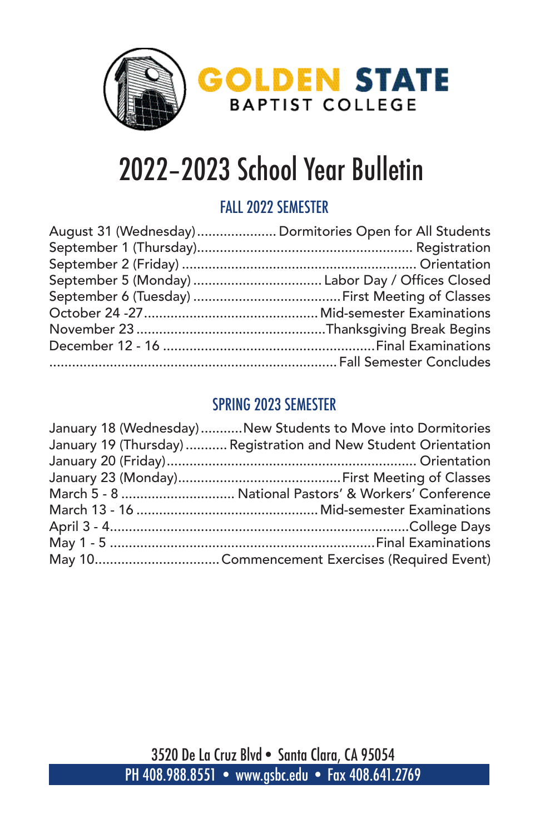

# 2022–2023 School Year Bulletin

### FALL 2022 SEMESTER

| August 31 (Wednesday) Dormitories Open for All Students |
|---------------------------------------------------------|
|                                                         |
|                                                         |
|                                                         |
|                                                         |
|                                                         |
|                                                         |
|                                                         |
|                                                         |
|                                                         |

### SPRING 2023 SEMESTER

| January 18 (Wednesday) New Students to Move into Dormitories    |
|-----------------------------------------------------------------|
| January 19 (Thursday)  Registration and New Student Orientation |
|                                                                 |
|                                                                 |
| March 5 - 8  National Pastors' & Workers' Conference            |
|                                                                 |
|                                                                 |
|                                                                 |
|                                                                 |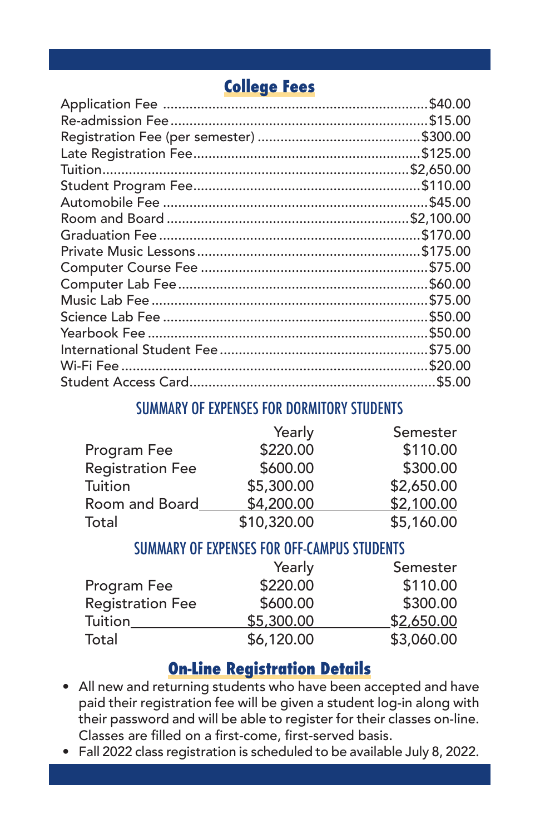## **College Fees**

| \$40.00 |
|---------|
|         |
|         |
|         |
|         |
|         |
|         |
|         |
|         |
|         |
|         |
|         |
|         |
|         |
|         |
|         |
|         |
|         |
|         |

#### SUMMARY OF EXPENSES FOR DORMITORY STUDENTS

|                         | Yearly      | Semester   |
|-------------------------|-------------|------------|
| Program Fee             | \$220.00    | \$110.00   |
| <b>Registration Fee</b> | \$600.00    | \$300.00   |
| Tuition                 | \$5,300.00  | \$2,650.00 |
| Room and Board          | \$4,200.00  | \$2,100.00 |
| Total                   | \$10,320.00 | \$5,160.00 |

#### SUMMARY OF EXPENSES FOR OFF-CAMPUS STUDENTS

|                         | Yearly     | Semester   |
|-------------------------|------------|------------|
| Program Fee             | \$220.00   | \$110.00   |
| <b>Registration Fee</b> | \$600.00   | \$300.00   |
| Tuition                 | \$5,300.00 | \$2,650.00 |
| Total                   | \$6,120.00 | \$3,060.00 |

### **On-Line Registration Details**

- All new and returning students who have been accepted and have paid their registration fee will be given a student log-in along with their password and will be able to register for their classes on-line. Classes are filled on a first-come, first-served basis.
- Fall 2022 class registration is scheduled to be available July 8, 2022.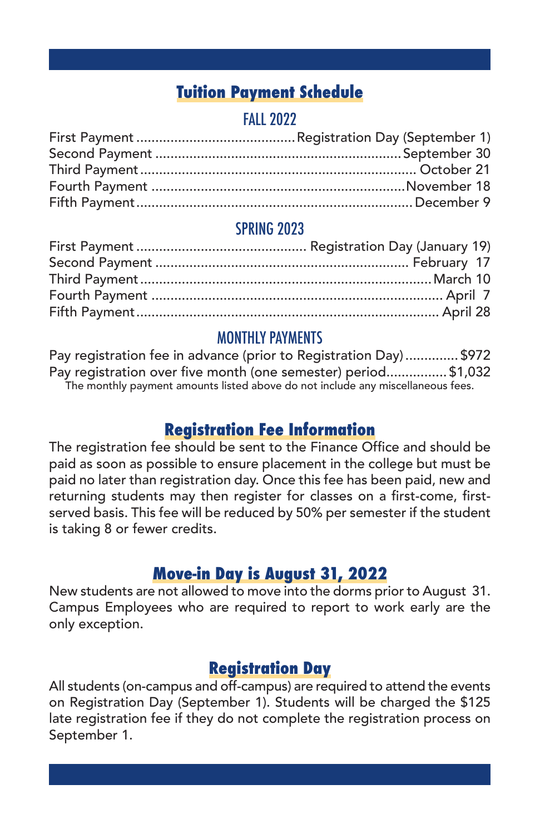### **Tuition Payment Schedule**

### **FALL 2022**

#### SPRING 2023

#### MONTHLY PAYMENTS

Pay registration fee in advance (prior to Registration Day) .............. \$972 Pay registration over five month (one semester) period................ \$1,032 The monthly payment amounts listed above do not include any miscellaneous fees.

### **Registration Fee Information**

The registration fee should be sent to the Finance Office and should be paid as soon as possible to ensure placement in the college but must be paid no later than registration day. Once this fee has been paid, new and returning students may then register for classes on a first-come, firstserved basis. This fee will be reduced by 50% per semester if the student is taking 8 or fewer credits.

### **Move-in Day is August 31, 2022**

New students are not allowed to move into the dorms prior to August 31. Campus Employees who are required to report to work early are the only exception.

### **Registration Day**

All students (on-campus and off-campus) are required to attend the events on Registration Day (September 1). Students will be charged the \$125 late registration fee if they do not complete the registration process on September 1.